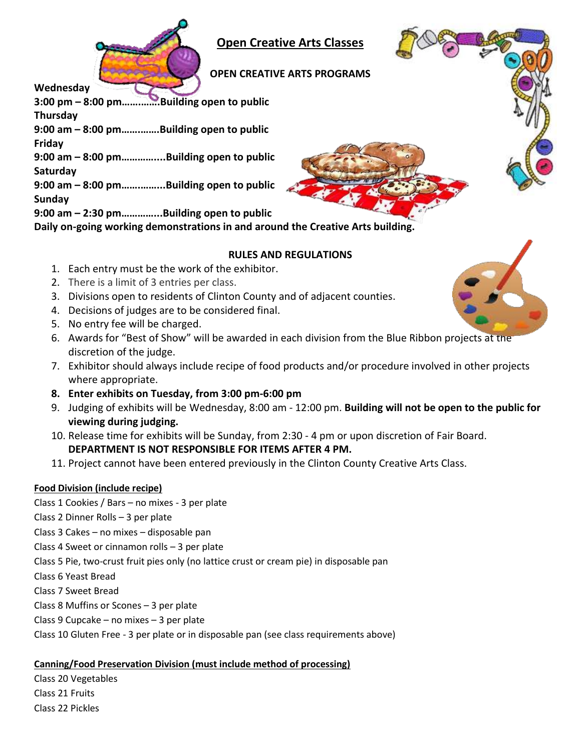

**Open Creative Arts Classes**

# **OPEN CREATIVE ARTS PROGRAMS**

**Wednesday**

**3:00 pm – 8:00 pm…….…….Building open to public Thursday 9:00 am – 8:00 pm…….…….Building open to public Friday 9:00 am – 8:00 pm…………....Building open to public Saturday 9:00 am – 8:00 pm…….……...Building open to public Sunday 9:00 am – 2:30 pm…………...Building open to public**

# **Daily on-going working demonstrations in and around the Creative Arts building.**

# **RULES AND REGULATIONS**

- 1. Each entry must be the work of the exhibitor.
- 2. There is a limit of 3 entries per class.
- 3. Divisions open to residents of Clinton County and of adjacent counties.
- 4. Decisions of judges are to be considered final.
- 5. No entry fee will be charged.
- 6. Awards for "Best of Show" will be awarded in each division from the Blue Ribbon projects at the discretion of the judge.
- 7. Exhibitor should always include recipe of food products and/or procedure involved in other projects where appropriate.
- **8. Enter exhibits on Tuesday, from 3:00 pm-6:00 pm**
- 9. Judging of exhibits will be Wednesday, 8:00 am 12:00 pm. **Building will not be open to the public for viewing during judging.**
- 10. Release time for exhibits will be Sunday, from 2:30 4 pm or upon discretion of Fair Board. **DEPARTMENT IS NOT RESPONSIBLE FOR ITEMS AFTER 4 PM.**
- 11. Project cannot have been entered previously in the Clinton County Creative Arts Class.

# **Food Division (include recipe)**

- Class 1 Cookies / Bars no mixes 3 per plate
- Class 2 Dinner Rolls 3 per plate
- Class 3 Cakes no mixes disposable pan
- Class 4 Sweet or cinnamon rolls 3 per plate
- Class 5 Pie, two-crust fruit pies only (no lattice crust or cream pie) in disposable pan
- Class 6 Yeast Bread
- Class 7 Sweet Bread
- Class 8 Muffins or Scones 3 per plate
- Class 9 Cupcake no mixes 3 per plate
- Class 10 Gluten Free 3 per plate or in disposable pan (see class requirements above)

# **Canning/Food Preservation Division (must include method of processing)**

Class 20 Vegetables Class 21 Fruits

Class 22 Pickles

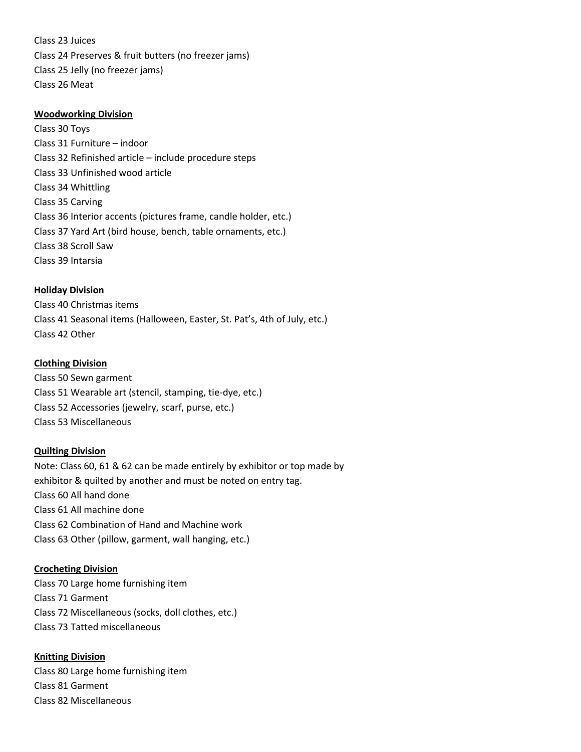Class 23 Juices Class 24 Preserves & fruit butters (no freezer jams) Class 25 Jelly (no freezer jams) Class 26 Meat

#### **Woodworking Division**

Class 30 Toys Class 31 Furniture – indoor Class 32 Refinished article – include procedure steps Class 33 Unfinished wood article Class 34 Whittling Class 35 Carving Class 36 Interior accents (pictures frame, candle holder, etc.) Class 37 Yard Art (bird house, bench, table ornaments, etc.) Class 38 Scroll Saw Class 39 Intarsia

#### **Holiday Division**

Class 40 Christmas items Class 41 Seasonal items (Halloween, Easter, St. Pat's, 4th of July, etc.) Class 42 Other

#### **Clothing Division**

Class 50 Sewn garment Class 51 Wearable art (stencil, stamping, tie-dye, etc.) Class 52 Accessories (jewelry, scarf, purse, etc.) Class 53 Miscellaneous

#### **Quilting Division**

Note: Class 60, 61 & 62 can be made entirely by exhibitor or top made by exhibitor & quilted by another and must be noted on entry tag. Class 60 All hand done Class 61 All machine done Class 62 Combination of Hand and Machine work Class 63 Other (pillow, garment, wall hanging, etc.)

#### **Crocheting Division**

Class 70 Large home furnishing item Class 71 Garment Class 72 Miscellaneous (socks, doll clothes, etc.) Class 73 Tatted miscellaneous

#### **Knitting Division**

Class 80 Large home furnishing item Class 81 Garment Class 82 Miscellaneous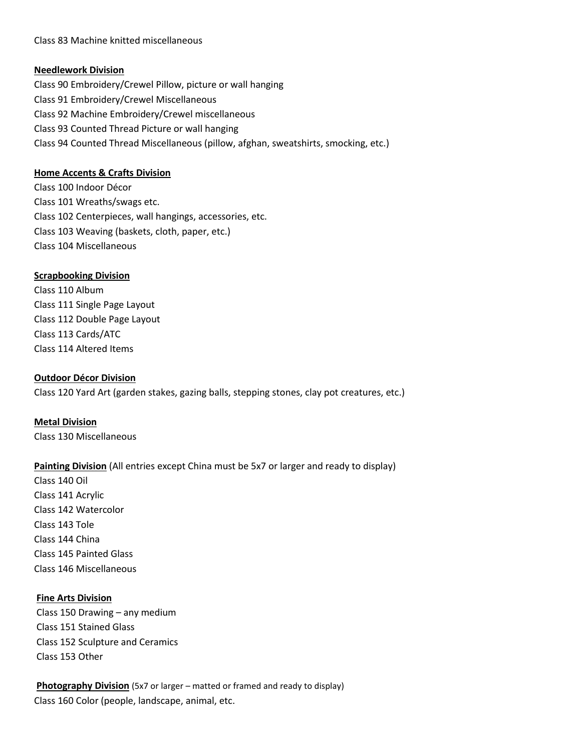Class 83 Machine knitted miscellaneous

### **Needlework Division**

Class 90 Embroidery/Crewel Pillow, picture or wall hanging Class 91 Embroidery/Crewel Miscellaneous Class 92 Machine Embroidery/Crewel miscellaneous Class 93 Counted Thread Picture or wall hanging Class 94 Counted Thread Miscellaneous (pillow, afghan, sweatshirts, smocking, etc.)

## **Home Accents & Crafts Division**

Class 100 Indoor Décor Class 101 Wreaths/swags etc. Class 102 Centerpieces, wall hangings, accessories, etc. Class 103 Weaving (baskets, cloth, paper, etc.) Class 104 Miscellaneous

# **Scrapbooking Division**

Class 110 Album Class 111 Single Page Layout Class 112 Double Page Layout Class 113 Cards/ATC Class 114 Altered Items

## **Outdoor Décor Division**

Class 120 Yard Art (garden stakes, gazing balls, stepping stones, clay pot creatures, etc.)

**Metal Division** Class 130 Miscellaneous

# **Painting Division** (All entries except China must be 5x7 or larger and ready to display)

Class 140 Oil Class 141 Acrylic Class 142 Watercolor Class 143 Tole Class 144 China Class 145 Painted Glass Class 146 Miscellaneous

#### **Fine Arts Division**

Class 150 Drawing – any medium Class 151 Stained Glass Class 152 Sculpture and Ceramics Class 153 Other

**Photography Division** (5x7 or larger – matted or framed and ready to display) Class 160 Color (people, landscape, animal, etc.